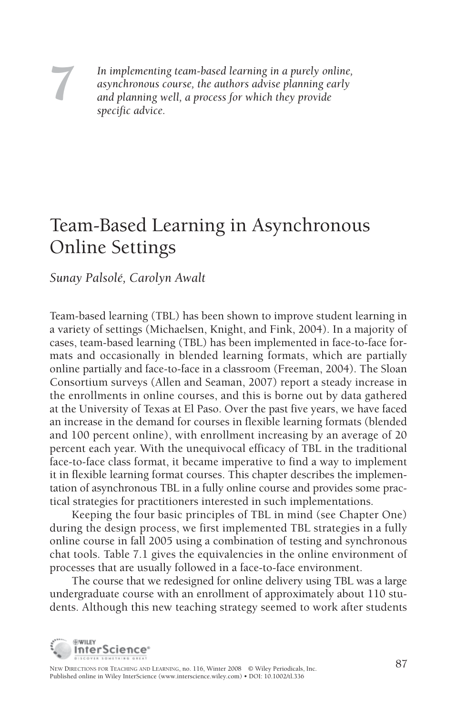7

*In implementing team-based learning in a purely online, asynchronous course, the authors advise planning early and planning well, a process for which they provide specific advice.*

# Team-Based Learning in Asynchronous Online Settings

## *Sunay Palsolé, Carolyn Awalt*

Team-based learning (TBL) has been shown to improve student learning in a variety of settings (Michaelsen, Knight, and Fink, 2004). In a majority of cases, team-based learning (TBL) has been implemented in face-to-face formats and occasionally in blended learning formats, which are partially online partially and face-to-face in a classroom (Freeman, 2004). The Sloan Consortium surveys (Allen and Seaman, 2007) report a steady increase in the enrollments in online courses, and this is borne out by data gathered at the University of Texas at El Paso. Over the past five years, we have faced an increase in the demand for courses in flexible learning formats (blended and 100 percent online), with enrollment increasing by an average of 20 percent each year. With the unequivocal efficacy of TBL in the traditional face-to-face class format, it became imperative to find a way to implement it in flexible learning format courses. This chapter describes the implementation of asynchronous TBL in a fully online course and provides some practical strategies for practitioners interested in such implementations.

Keeping the four basic principles of TBL in mind (see Chapter One) during the design process, we first implemented TBL strategies in a fully online course in fall 2005 using a combination of testing and synchronous chat tools. Table 7.1 gives the equivalencies in the online environment of processes that are usually followed in a face-to-face environment.

The course that we redesigned for online delivery using TBL was a large undergraduate course with an enrollment of approximately about 110 students. Although this new teaching strategy seemed to work after students

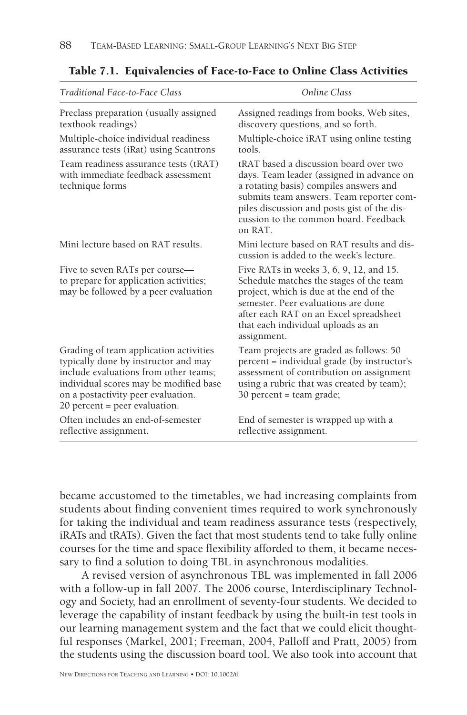| Traditional Face-to-Face Class                                                                                                                                                                                                           | <b>Online Class</b>                                                                                                                                                                                                                                                         |
|------------------------------------------------------------------------------------------------------------------------------------------------------------------------------------------------------------------------------------------|-----------------------------------------------------------------------------------------------------------------------------------------------------------------------------------------------------------------------------------------------------------------------------|
| Preclass preparation (usually assigned<br>textbook readings)                                                                                                                                                                             | Assigned readings from books, Web sites,<br>discovery questions, and so forth.                                                                                                                                                                                              |
| Multiple-choice individual readiness<br>assurance tests (iRat) using Scantrons                                                                                                                                                           | Multiple-choice iRAT using online testing<br>tools.                                                                                                                                                                                                                         |
| Team readiness assurance tests (tRAT)<br>with immediate feedback assessment<br>technique forms                                                                                                                                           | tRAT based a discussion board over two<br>days. Team leader (assigned in advance on<br>a rotating basis) compiles answers and<br>submits team answers. Team reporter com-<br>piles discussion and posts gist of the dis-<br>cussion to the common board. Feedback<br>on RAT |
| Mini lecture based on RAT results.                                                                                                                                                                                                       | Mini lecture based on RAT results and dis-<br>cussion is added to the week's lecture.                                                                                                                                                                                       |
| Five to seven RATs per course-<br>to prepare for application activities;<br>may be followed by a peer evaluation                                                                                                                         | Five RATs in weeks 3, 6, 9, 12, and 15.<br>Schedule matches the stages of the team<br>project, which is due at the end of the<br>semester. Peer evaluations are done<br>after each RAT on an Excel spreadsheet<br>that each individual uploads as an<br>assignment.         |
| Grading of team application activities<br>typically done by instructor and may<br>include evaluations from other teams;<br>individual scores may be modified base<br>on a postactivity peer evaluation.<br>20 percent = peer evaluation. | Team projects are graded as follows: 50<br>percent = individual grade (by instructor's<br>assessment of contribution on assignment<br>using a rubric that was created by team);<br>30 percent = team grade;                                                                 |
| Often includes an end-of-semester<br>reflective assignment.                                                                                                                                                                              | End of semester is wrapped up with a<br>reflective assignment.                                                                                                                                                                                                              |

became accustomed to the timetables, we had increasing complaints from students about finding convenient times required to work synchronously for taking the individual and team readiness assurance tests (respectively, iRATs and tRATs). Given the fact that most students tend to take fully online courses for the time and space flexibility afforded to them, it became necessary to find a solution to doing TBL in asynchronous modalities.

A revised version of asynchronous TBL was implemented in fall 2006 with a follow-up in fall 2007. The 2006 course, Interdisciplinary Technology and Society, had an enrollment of seventy-four students. We decided to leverage the capability of instant feedback by using the built-in test tools in our learning management system and the fact that we could elicit thoughtful responses (Markel, 2001; Freeman, 2004, Palloff and Pratt, 2005) from the students using the discussion board tool. We also took into account that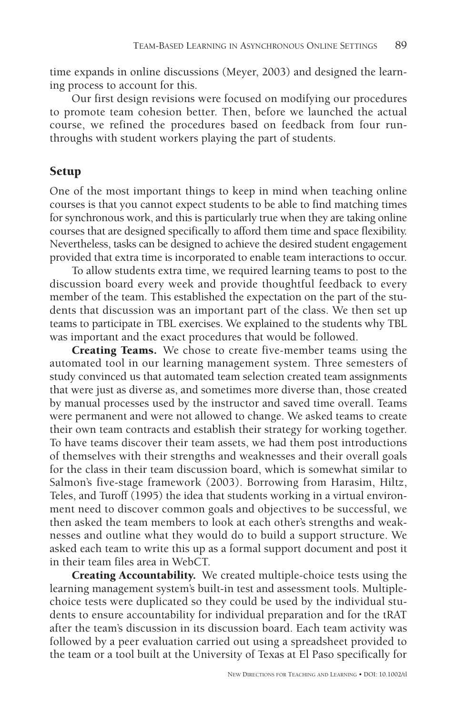time expands in online discussions (Meyer, 2003) and designed the learning process to account for this.

Our first design revisions were focused on modifying our procedures to promote team cohesion better. Then, before we launched the actual course, we refined the procedures based on feedback from four runthroughs with student workers playing the part of students.

#### Setup

One of the most important things to keep in mind when teaching online courses is that you cannot expect students to be able to find matching times for synchronous work, and this is particularly true when they are taking online courses that are designed specifically to afford them time and space flexibility. Nevertheless, tasks can be designed to achieve the desired student engagement provided that extra time is incorporated to enable team interactions to occur.

To allow students extra time, we required learning teams to post to the discussion board every week and provide thoughtful feedback to every member of the team. This established the expectation on the part of the students that discussion was an important part of the class. We then set up teams to participate in TBL exercises. We explained to the students why TBL was important and the exact procedures that would be followed.

Creating Teams. We chose to create five-member teams using the automated tool in our learning management system. Three semesters of study convinced us that automated team selection created team assignments that were just as diverse as, and sometimes more diverse than, those created by manual processes used by the instructor and saved time overall. Teams were permanent and were not allowed to change. We asked teams to create their own team contracts and establish their strategy for working together. To have teams discover their team assets, we had them post introductions of themselves with their strengths and weaknesses and their overall goals for the class in their team discussion board, which is somewhat similar to Salmon's five-stage framework (2003). Borrowing from Harasim, Hiltz, Teles, and Turoff (1995) the idea that students working in a virtual environment need to discover common goals and objectives to be successful, we then asked the team members to look at each other's strengths and weaknesses and outline what they would do to build a support structure. We asked each team to write this up as a formal support document and post it in their team files area in WebCT.

Creating Accountability. We created multiple-choice tests using the learning management system's built-in test and assessment tools. Multiplechoice tests were duplicated so they could be used by the individual students to ensure accountability for individual preparation and for the tRAT after the team's discussion in its discussion board. Each team activity was followed by a peer evaluation carried out using a spreadsheet provided to the team or a tool built at the University of Texas at El Paso specifically for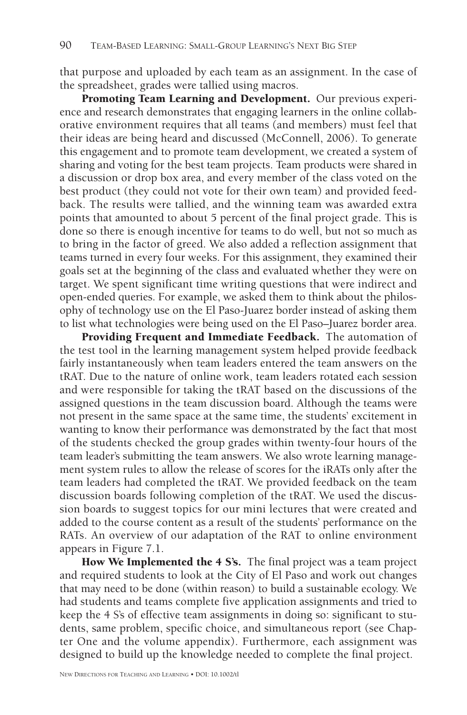that purpose and uploaded by each team as an assignment. In the case of the spreadsheet, grades were tallied using macros.

Promoting Team Learning and Development. Our previous experience and research demonstrates that engaging learners in the online collaborative environment requires that all teams (and members) must feel that their ideas are being heard and discussed (McConnell, 2006). To generate this engagement and to promote team development, we created a system of sharing and voting for the best team projects. Team products were shared in a discussion or drop box area, and every member of the class voted on the best product (they could not vote for their own team) and provided feedback. The results were tallied, and the winning team was awarded extra points that amounted to about 5 percent of the final project grade. This is done so there is enough incentive for teams to do well, but not so much as to bring in the factor of greed. We also added a reflection assignment that teams turned in every four weeks. For this assignment, they examined their goals set at the beginning of the class and evaluated whether they were on target. We spent significant time writing questions that were indirect and open-ended queries. For example, we asked them to think about the philosophy of technology use on the El Paso-Juarez border instead of asking them to list what technologies were being used on the El Paso–Juarez border area.

Providing Frequent and Immediate Feedback. The automation of the test tool in the learning management system helped provide feedback fairly instantaneously when team leaders entered the team answers on the tRAT. Due to the nature of online work, team leaders rotated each session and were responsible for taking the tRAT based on the discussions of the assigned questions in the team discussion board. Although the teams were not present in the same space at the same time, the students' excitement in wanting to know their performance was demonstrated by the fact that most of the students checked the group grades within twenty-four hours of the team leader's submitting the team answers. We also wrote learning management system rules to allow the release of scores for the iRATs only after the team leaders had completed the tRAT. We provided feedback on the team discussion boards following completion of the tRAT. We used the discussion boards to suggest topics for our mini lectures that were created and added to the course content as a result of the students' performance on the RATs. An overview of our adaptation of the RAT to online environment appears in Figure 7.1.

How We Implemented the 4 S's. The final project was a team project and required students to look at the City of El Paso and work out changes that may need to be done (within reason) to build a sustainable ecology. We had students and teams complete five application assignments and tried to keep the 4 S's of effective team assignments in doing so: significant to students, same problem, specific choice, and simultaneous report (see Chapter One and the volume appendix). Furthermore, each assignment was designed to build up the knowledge needed to complete the final project.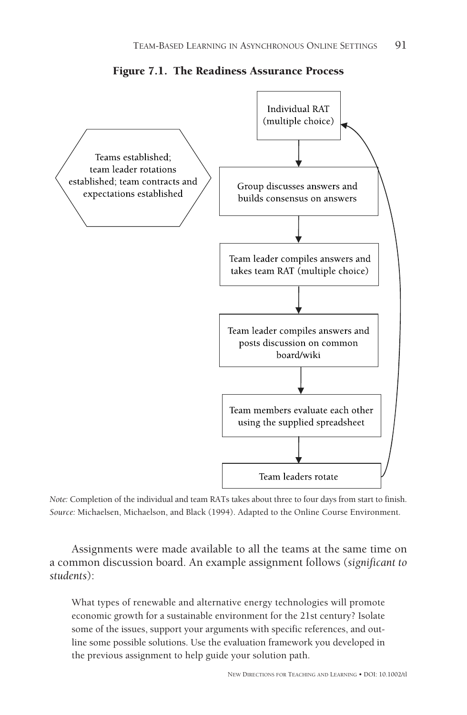



*Note:* Completion of the individual and team RATs takes about three to four days from start to finish. *Source:* Michaelsen, Michaelson, and Black (1994). Adapted to the Online Course Environment.

Assignments were made available to all the teams at the same time on a common discussion board. An example assignment follows (*significant to students*):

What types of renewable and alternative energy technologies will promote economic growth for a sustainable environment for the 21st century? Isolate some of the issues, support your arguments with specific references, and outline some possible solutions. Use the evaluation framework you developed in the previous assignment to help guide your solution path.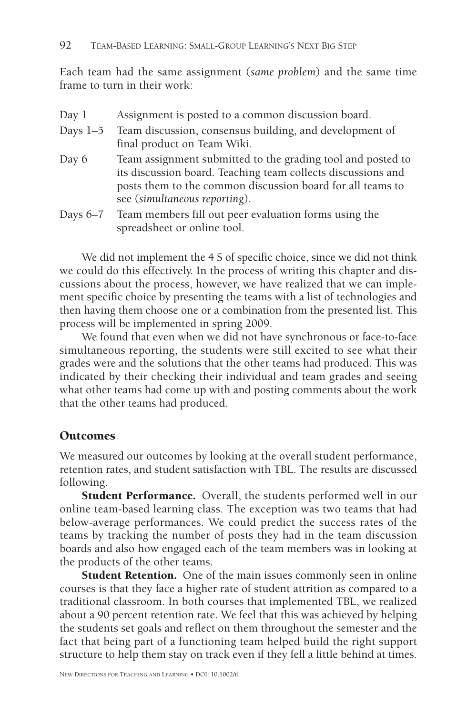Each team had the same assignment (*same problem*) and the same time frame to turn in their work:

| Day $1$    | Assignment is posted to a common discussion board.                                                                                                                                                                         |
|------------|----------------------------------------------------------------------------------------------------------------------------------------------------------------------------------------------------------------------------|
| Days $1-5$ | Team discussion, consensus building, and development of<br>final product on Team Wiki.                                                                                                                                     |
| Day 6      | Team assignment submitted to the grading tool and posted to<br>its discussion board. Teaching team collects discussions and<br>posts them to the common discussion board for all teams to<br>see (simultaneous reporting). |
| Days $6-7$ | Team members fill out peer evaluation forms using the<br>spreadsheet or online tool.                                                                                                                                       |

We did not implement the 4 S of specific choice, since we did not think we could do this effectively. In the process of writing this chapter and discussions about the process, however, we have realized that we can implement specific choice by presenting the teams with a list of technologies and then having them choose one or a combination from the presented list. This process will be implemented in spring 2009.

We found that even when we did not have synchronous or face-to-face simultaneous reporting, the students were still excited to see what their grades were and the solutions that the other teams had produced. This was indicated by their checking their individual and team grades and seeing what other teams had come up with and posting comments about the work that the other teams had produced.

### **Outcomes**

We measured our outcomes by looking at the overall student performance, retention rates, and student satisfaction with TBL. The results are discussed following.

**Student Performance.** Overall, the students performed well in our online team-based learning class. The exception was two teams that had below-average performances. We could predict the success rates of the teams by tracking the number of posts they had in the team discussion boards and also how engaged each of the team members was in looking at the products of the other teams.

Student Retention. One of the main issues commonly seen in online courses is that they face a higher rate of student attrition as compared to a traditional classroom. In both courses that implemented TBL, we realized about a 90 percent retention rate. We feel that this was achieved by helping the students set goals and reflect on them throughout the semester and the fact that being part of a functioning team helped build the right support structure to help them stay on track even if they fell a little behind at times.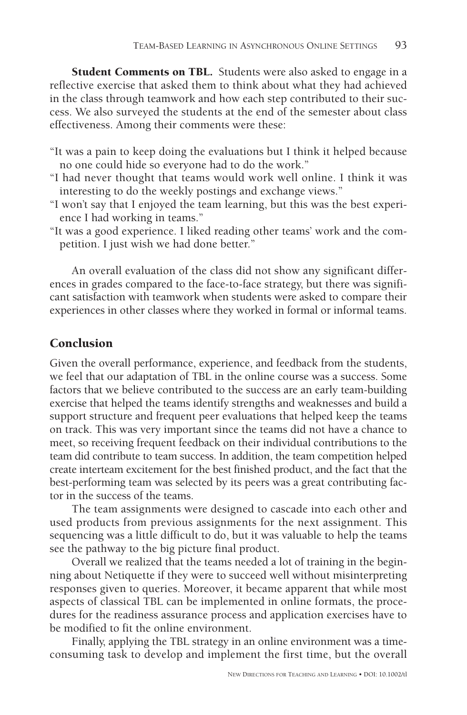Student Comments on TBL. Students were also asked to engage in a reflective exercise that asked them to think about what they had achieved in the class through teamwork and how each step contributed to their success. We also surveyed the students at the end of the semester about class effectiveness. Among their comments were these:

- "It was a pain to keep doing the evaluations but I think it helped because no one could hide so everyone had to do the work."
- "I had never thought that teams would work well online. I think it was interesting to do the weekly postings and exchange views."
- "I won't say that I enjoyed the team learning, but this was the best experience I had working in teams."
- "It was a good experience. I liked reading other teams' work and the competition. I just wish we had done better."

An overall evaluation of the class did not show any significant differences in grades compared to the face-to-face strategy, but there was significant satisfaction with teamwork when students were asked to compare their experiences in other classes where they worked in formal or informal teams.

#### Conclusion

Given the overall performance, experience, and feedback from the students, we feel that our adaptation of TBL in the online course was a success. Some factors that we believe contributed to the success are an early team-building exercise that helped the teams identify strengths and weaknesses and build a support structure and frequent peer evaluations that helped keep the teams on track. This was very important since the teams did not have a chance to meet, so receiving frequent feedback on their individual contributions to the team did contribute to team success. In addition, the team competition helped create interteam excitement for the best finished product, and the fact that the best-performing team was selected by its peers was a great contributing factor in the success of the teams.

The team assignments were designed to cascade into each other and used products from previous assignments for the next assignment. This sequencing was a little difficult to do, but it was valuable to help the teams see the pathway to the big picture final product.

Overall we realized that the teams needed a lot of training in the beginning about Netiquette if they were to succeed well without misinterpreting responses given to queries. Moreover, it became apparent that while most aspects of classical TBL can be implemented in online formats, the procedures for the readiness assurance process and application exercises have to be modified to fit the online environment.

Finally, applying the TBL strategy in an online environment was a timeconsuming task to develop and implement the first time, but the overall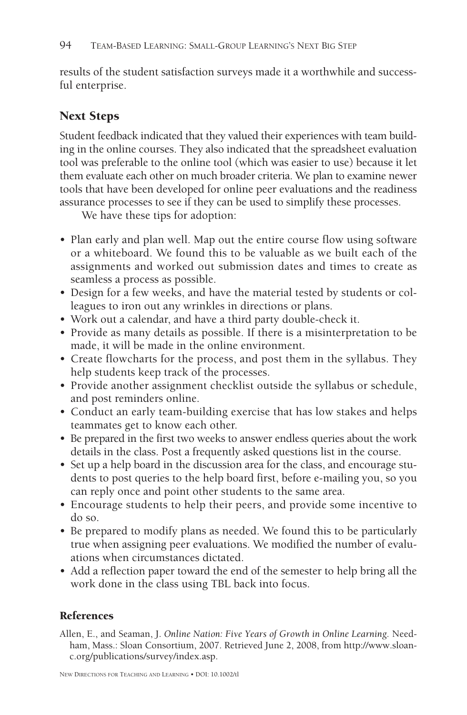results of the student satisfaction surveys made it a worthwhile and successful enterprise.

# Next Steps

Student feedback indicated that they valued their experiences with team building in the online courses. They also indicated that the spreadsheet evaluation tool was preferable to the online tool (which was easier to use) because it let them evaluate each other on much broader criteria. We plan to examine newer tools that have been developed for online peer evaluations and the readiness assurance processes to see if they can be used to simplify these processes.

We have these tips for adoption:

- Plan early and plan well. Map out the entire course flow using software or a whiteboard. We found this to be valuable as we built each of the assignments and worked out submission dates and times to create as seamless a process as possible.
- Design for a few weeks, and have the material tested by students or colleagues to iron out any wrinkles in directions or plans.
- Work out a calendar, and have a third party double-check it.
- Provide as many details as possible. If there is a misinterpretation to be made, it will be made in the online environment.
- Create flowcharts for the process, and post them in the syllabus. They help students keep track of the processes.
- Provide another assignment checklist outside the syllabus or schedule, and post reminders online.
- Conduct an early team-building exercise that has low stakes and helps teammates get to know each other.
- Be prepared in the first two weeks to answer endless queries about the work details in the class. Post a frequently asked questions list in the course.
- Set up a help board in the discussion area for the class, and encourage students to post queries to the help board first, before e-mailing you, so you can reply once and point other students to the same area.
- Encourage students to help their peers, and provide some incentive to do so.
- Be prepared to modify plans as needed. We found this to be particularly true when assigning peer evaluations. We modified the number of evaluations when circumstances dictated.
- Add a reflection paper toward the end of the semester to help bring all the work done in the class using TBL back into focus.

# References

Allen, E., and Seaman, J. *Online Nation: Five Years of Growth in Online Learning.* Needham, Mass.: Sloan Consortium, 2007. Retrieved June 2, 2008, from http://www.sloanc.org/publications/survey/index.asp.

NEW DIRECTIONS FOR TEACHING AND LEARNING • DOI: 10.1002/tl